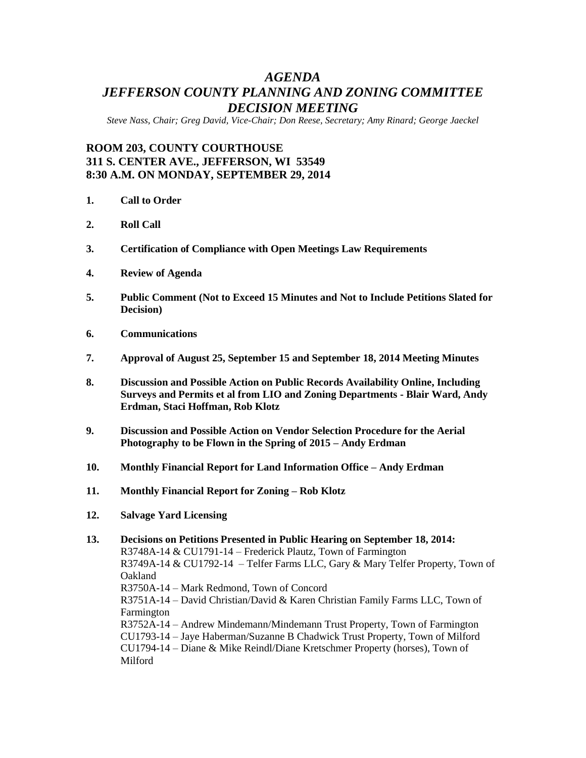# *AGENDA JEFFERSON COUNTY PLANNING AND ZONING COMMITTEE DECISION MEETING*

*Steve Nass, Chair; Greg David, Vice-Chair; Don Reese, Secretary; Amy Rinard; George Jaeckel*

# **ROOM 203, COUNTY COURTHOUSE 311 S. CENTER AVE., JEFFERSON, WI 53549 8:30 A.M. ON MONDAY, SEPTEMBER 29, 2014**

- **1. Call to Order**
- **2. Roll Call**
- **3. Certification of Compliance with Open Meetings Law Requirements**
- **4. Review of Agenda**
- **5. Public Comment (Not to Exceed 15 Minutes and Not to Include Petitions Slated for Decision)**
- **6. Communications**
- **7. Approval of August 25, September 15 and September 18, 2014 Meeting Minutes**
- **8. Discussion and Possible Action on Public Records Availability Online, Including Surveys and Permits et al from LIO and Zoning Departments - Blair Ward, Andy Erdman, Staci Hoffman, Rob Klotz**
- **9. Discussion and Possible Action on Vendor Selection Procedure for the Aerial Photography to be Flown in the Spring of 2015 – Andy Erdman**
- **10. Monthly Financial Report for Land Information Office – Andy Erdman**
- **11. Monthly Financial Report for Zoning – Rob Klotz**
- **12. Salvage Yard Licensing**

#### **13. Decisions on Petitions Presented in Public Hearing on September 18, 2014:** R3748A-14 & CU1791-14 – Frederick Plautz, Town of Farmington R3749A-14 & CU1792-14 – Telfer Farms LLC, Gary & Mary Telfer Property, Town of Oakland R3750A-14 – Mark Redmond, Town of Concord R3751A-14 – David Christian/David & Karen Christian Family Farms LLC, Town of Farmington R3752A-14 – Andrew Mindemann/Mindemann Trust Property, Town of Farmington CU1793-14 – Jaye Haberman/Suzanne B Chadwick Trust Property, Town of Milford CU1794-14 – Diane & Mike Reindl/Diane Kretschmer Property (horses), Town of Milford